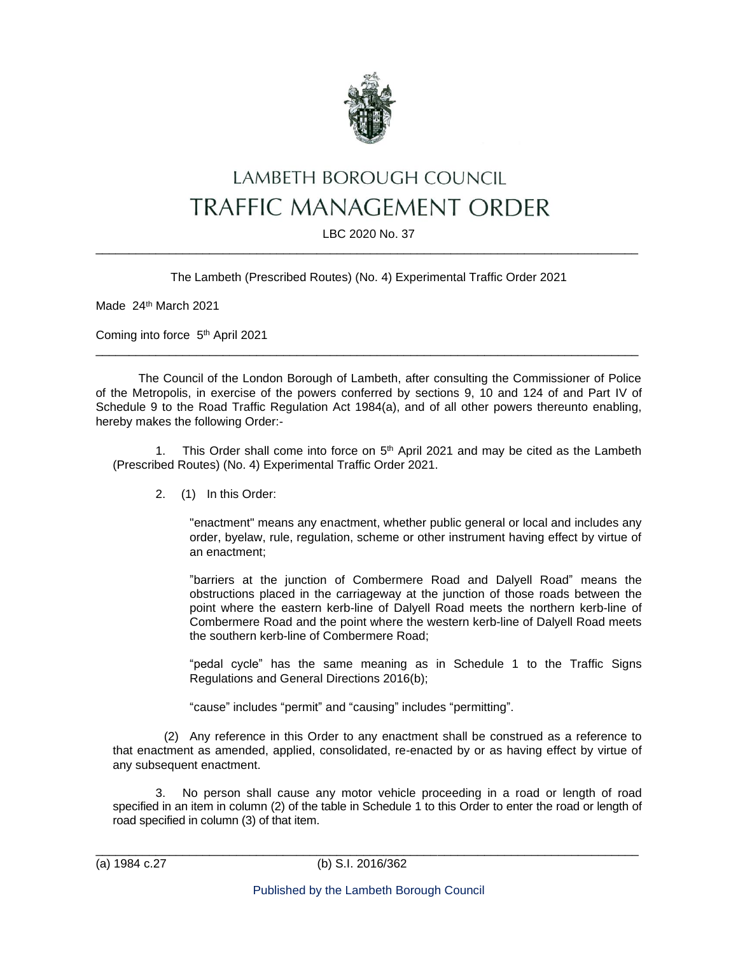

# LAMBETH BOROUGH COUNCIL TRAFFIC MANAGEMENT ORDER

#### LBC 2020 No. 37 \_\_\_\_\_\_\_\_\_\_\_\_\_\_\_\_\_\_\_\_\_\_\_\_\_\_\_\_\_\_\_\_\_\_\_\_\_\_\_\_\_\_\_\_\_\_\_\_\_\_\_\_\_\_\_\_\_\_\_\_\_\_\_\_\_\_\_\_\_\_\_\_\_\_\_\_\_\_\_\_\_

The Lambeth (Prescribed Routes) (No. 4) Experimental Traffic Order 2021

Made 24<sup>th</sup> March 2021

Coming into force 5<sup>th</sup> April 2021

The Council of the London Borough of Lambeth, after consulting the Commissioner of Police of the Metropolis, in exercise of the powers conferred by sections 9, 10 and 124 of and Part IV of Schedule 9 to the Road Traffic Regulation Act 1984(a), and of all other powers thereunto enabling, hereby makes the following Order:-

\_\_\_\_\_\_\_\_\_\_\_\_\_\_\_\_\_\_\_\_\_\_\_\_\_\_\_\_\_\_\_\_\_\_\_\_\_\_\_\_\_\_\_\_\_\_\_\_\_\_\_\_\_\_\_\_\_\_\_\_\_\_\_\_\_\_\_\_\_\_\_\_\_\_\_\_\_\_\_\_\_

1. This Order shall come into force on  $5<sup>th</sup>$  April 2021 and may be cited as the Lambeth (Prescribed Routes) (No. 4) Experimental Traffic Order 2021.

2. (1) In this Order:

"enactment" means any enactment, whether public general or local and includes any order, byelaw, rule, regulation, scheme or other instrument having effect by virtue of an enactment;

"barriers at the junction of Combermere Road and Dalyell Road" means the obstructions placed in the carriageway at the junction of those roads between the point where the eastern kerb-line of Dalyell Road meets the northern kerb-line of Combermere Road and the point where the western kerb-line of Dalyell Road meets the southern kerb-line of Combermere Road;

"pedal cycle" has the same meaning as in Schedule 1 to the Traffic Signs Regulations and General Directions 2016(b);

"cause" includes "permit" and "causing" includes "permitting".

(2) Any reference in this Order to any enactment shall be construed as a reference to that enactment as amended, applied, consolidated, re-enacted by or as having effect by virtue of any subsequent enactment.

3. No person shall cause any motor vehicle proceeding in a road or length of road specified in an item in column (2) of the table in Schedule 1 to this Order to enter the road or length of road specified in column (3) of that item.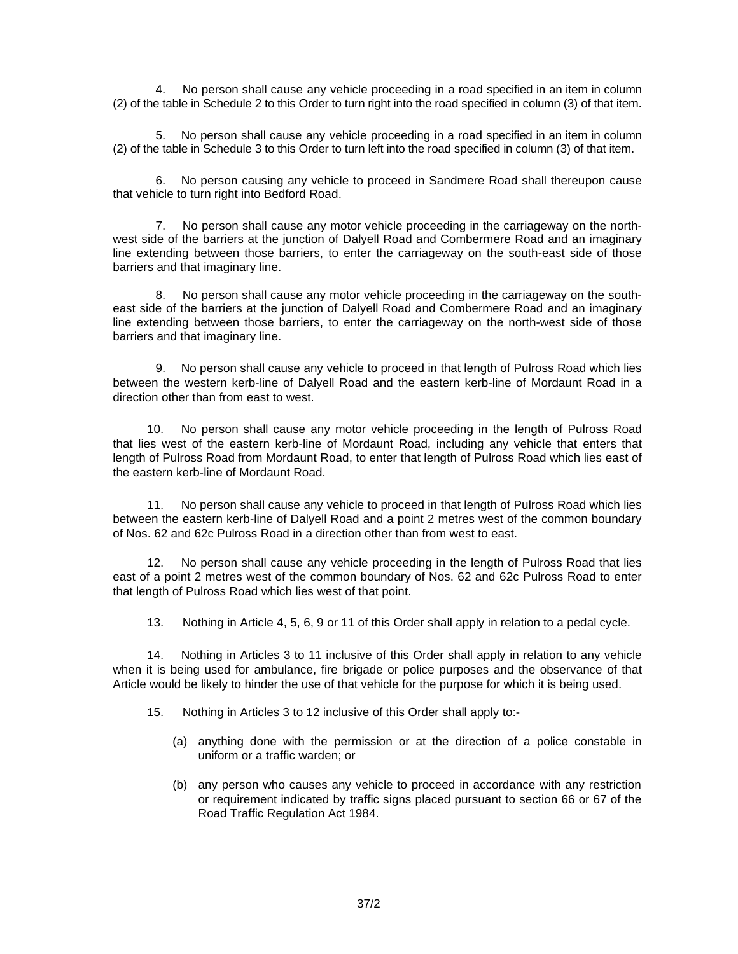4. No person shall cause any vehicle proceeding in a road specified in an item in column (2) of the table in Schedule 2 to this Order to turn right into the road specified in column (3) of that item.

5. No person shall cause any vehicle proceeding in a road specified in an item in column (2) of the table in Schedule 3 to this Order to turn left into the road specified in column (3) of that item.

6. No person causing any vehicle to proceed in Sandmere Road shall thereupon cause that vehicle to turn right into Bedford Road.

7. No person shall cause any motor vehicle proceeding in the carriageway on the northwest side of the barriers at the junction of Dalyell Road and Combermere Road and an imaginary line extending between those barriers, to enter the carriageway on the south-east side of those barriers and that imaginary line.

8. No person shall cause any motor vehicle proceeding in the carriageway on the southeast side of the barriers at the junction of Dalyell Road and Combermere Road and an imaginary line extending between those barriers, to enter the carriageway on the north-west side of those barriers and that imaginary line.

9. No person shall cause any vehicle to proceed in that length of Pulross Road which lies between the western kerb-line of Dalyell Road and the eastern kerb-line of Mordaunt Road in a direction other than from east to west.

10. No person shall cause any motor vehicle proceeding in the length of Pulross Road that lies west of the eastern kerb-line of Mordaunt Road, including any vehicle that enters that length of Pulross Road from Mordaunt Road, to enter that length of Pulross Road which lies east of the eastern kerb-line of Mordaunt Road.

11. No person shall cause any vehicle to proceed in that length of Pulross Road which lies between the eastern kerb-line of Dalyell Road and a point 2 metres west of the common boundary of Nos. 62 and 62c Pulross Road in a direction other than from west to east.

12. No person shall cause any vehicle proceeding in the length of Pulross Road that lies east of a point 2 metres west of the common boundary of Nos. 62 and 62c Pulross Road to enter that length of Pulross Road which lies west of that point.

13. Nothing in Article 4, 5, 6, 9 or 11 of this Order shall apply in relation to a pedal cycle.

14. Nothing in Articles 3 to 11 inclusive of this Order shall apply in relation to any vehicle when it is being used for ambulance, fire brigade or police purposes and the observance of that Article would be likely to hinder the use of that vehicle for the purpose for which it is being used.

- 15. Nothing in Articles 3 to 12 inclusive of this Order shall apply to:-
	- (a) anything done with the permission or at the direction of a police constable in uniform or a traffic warden; or
	- (b) any person who causes any vehicle to proceed in accordance with any restriction or requirement indicated by traffic signs placed pursuant to section 66 or 67 of the Road Traffic Regulation Act 1984.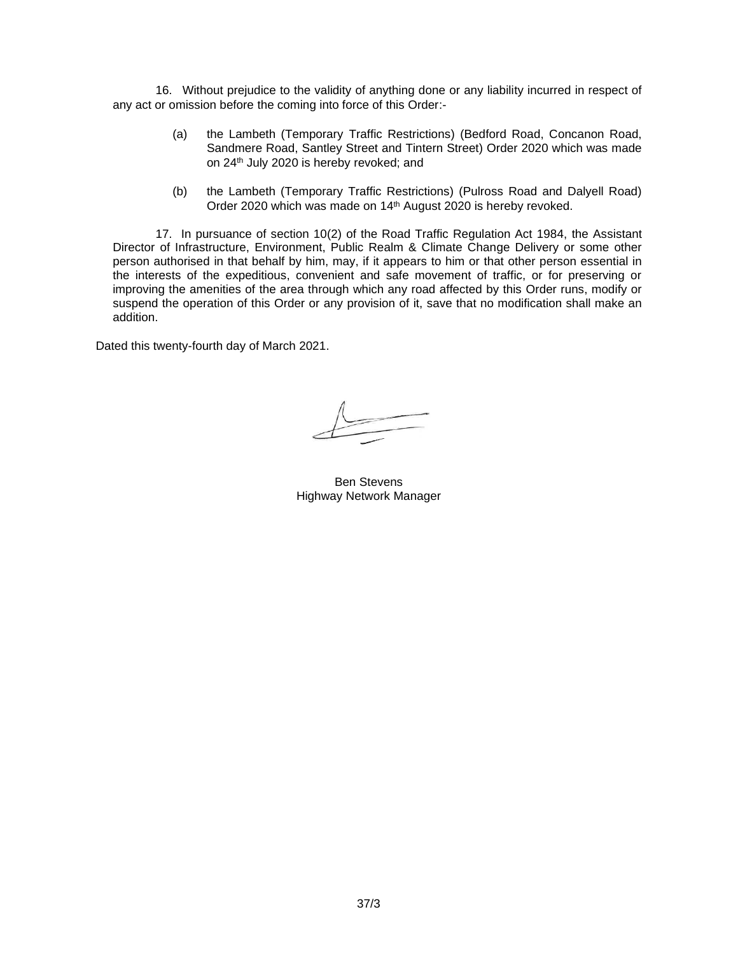16. Without prejudice to the validity of anything done or any liability incurred in respect of any act or omission before the coming into force of this Order:-

- (a) the Lambeth (Temporary Traffic Restrictions) (Bedford Road, Concanon Road, Sandmere Road, Santley Street and Tintern Street) Order 2020 which was made on 24th July 2020 is hereby revoked; and
- (b) the Lambeth (Temporary Traffic Restrictions) (Pulross Road and Dalyell Road) Order 2020 which was made on 14<sup>th</sup> August 2020 is hereby revoked.

17. In pursuance of section 10(2) of the Road Traffic Regulation Act 1984, the Assistant Director of Infrastructure, Environment, Public Realm & Climate Change Delivery or some other person authorised in that behalf by him, may, if it appears to him or that other person essential in the interests of the expeditious, convenient and safe movement of traffic, or for preserving or improving the amenities of the area through which any road affected by this Order runs, modify or suspend the operation of this Order or any provision of it, save that no modification shall make an addition.

Dated this twenty-fourth day of March 2021.

Ben Stevens Highway Network Manager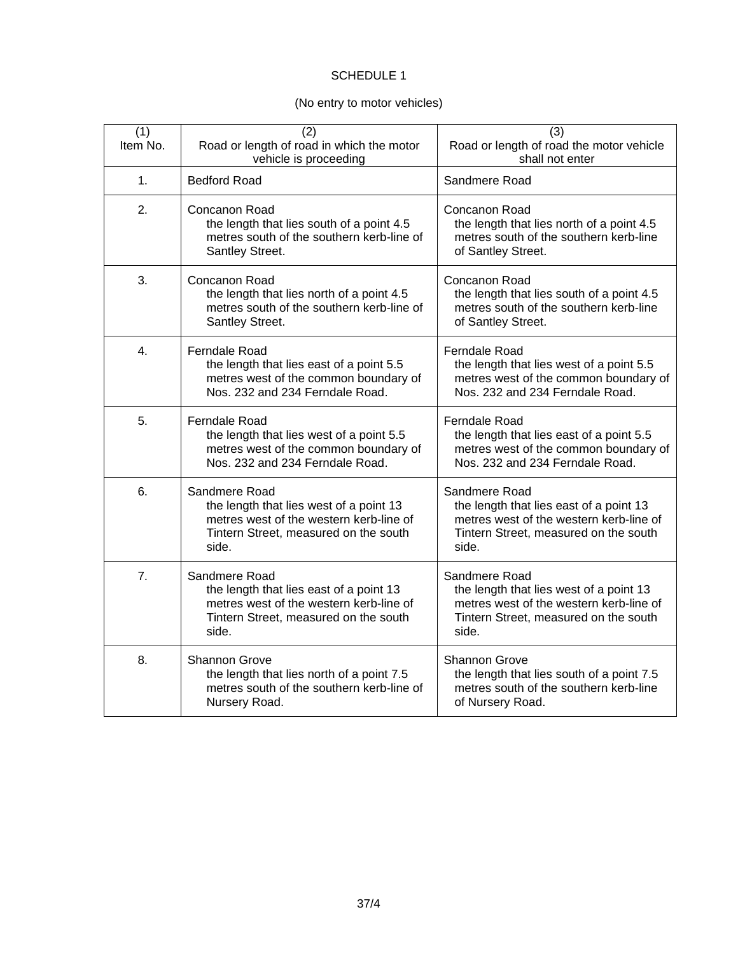#### SCHEDULE 1

### (No entry to motor vehicles)

| (1)<br>Item No. | (2)<br>Road or length of road in which the motor<br>vehicle is proceeding                                                                             | (3)<br>Road or length of road the motor vehicle<br>shall not enter                                                                                    |
|-----------------|-------------------------------------------------------------------------------------------------------------------------------------------------------|-------------------------------------------------------------------------------------------------------------------------------------------------------|
| 1.              | <b>Bedford Road</b>                                                                                                                                   | Sandmere Road                                                                                                                                         |
| 2.              | Concanon Road<br>the length that lies south of a point 4.5<br>metres south of the southern kerb-line of<br>Santley Street.                            | Concanon Road<br>the length that lies north of a point 4.5<br>metres south of the southern kerb-line<br>of Santley Street.                            |
| 3.              | Concanon Road<br>the length that lies north of a point 4.5<br>metres south of the southern kerb-line of<br>Santley Street.                            | Concanon Road<br>the length that lies south of a point 4.5<br>metres south of the southern kerb-line<br>of Santley Street.                            |
| 4.              | Ferndale Road<br>the length that lies east of a point 5.5<br>metres west of the common boundary of<br>Nos. 232 and 234 Ferndale Road.                 | Ferndale Road<br>the length that lies west of a point 5.5<br>metres west of the common boundary of<br>Nos. 232 and 234 Ferndale Road.                 |
| 5.              | Ferndale Road<br>the length that lies west of a point 5.5<br>metres west of the common boundary of<br>Nos. 232 and 234 Ferndale Road.                 | <b>Ferndale Road</b><br>the length that lies east of a point 5.5<br>metres west of the common boundary of<br>Nos. 232 and 234 Ferndale Road.          |
| 6.              | Sandmere Road<br>the length that lies west of a point 13<br>metres west of the western kerb-line of<br>Tintern Street, measured on the south<br>side. | Sandmere Road<br>the length that lies east of a point 13<br>metres west of the western kerb-line of<br>Tintern Street, measured on the south<br>side. |
| 7.              | Sandmere Road<br>the length that lies east of a point 13<br>metres west of the western kerb-line of<br>Tintern Street, measured on the south<br>side. | Sandmere Road<br>the length that lies west of a point 13<br>metres west of the western kerb-line of<br>Tintern Street, measured on the south<br>side. |
| 8.              | Shannon Grove<br>the length that lies north of a point 7.5<br>metres south of the southern kerb-line of<br>Nursery Road.                              | Shannon Grove<br>the length that lies south of a point 7.5<br>metres south of the southern kerb-line<br>of Nursery Road.                              |